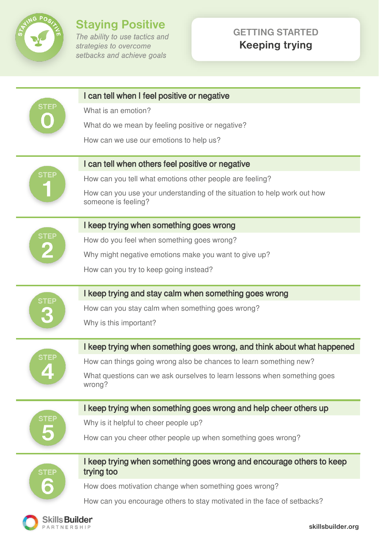

Skills Builder PARTNERSHIP

# **Staying Positive**<br>The ability to use tactics and

strategies to overcome setbacks and achieve goals

## **GETTING STARTED Keeping trying**

| STEF        | I can tell when I feel positive or negative                                                     |
|-------------|-------------------------------------------------------------------------------------------------|
|             | What is an emotion?                                                                             |
|             | What do we mean by feeling positive or negative?                                                |
|             | How can we use our emotions to help us?                                                         |
|             |                                                                                                 |
|             | I can tell when others feel positive or negative                                                |
|             | How can you tell what emotions other people are feeling?                                        |
|             | How can you use your understanding of the situation to help work out how<br>someone is feeling? |
| STEP        | I keep trying when something goes wrong                                                         |
|             | How do you feel when something goes wrong?                                                      |
|             | Why might negative emotions make you want to give up?                                           |
|             | How can you try to keep going instead?                                                          |
|             |                                                                                                 |
| <b>STEP</b> | I keep trying and stay calm when something goes wrong                                           |
|             | How can you stay calm when something goes wrong?                                                |
|             | Why is this important?                                                                          |
| <b>STEP</b> | I keep trying when something goes wrong, and think about what happened                          |
|             | How can things going wrong also be chances to learn something new?                              |
|             | What questions can we ask ourselves to learn lessons when something goes                        |
|             | wrong?                                                                                          |
|             | I keep trying when something goes wrong and help cheer others up                                |
|             | Why is it helpful to cheer people up?                                                           |
|             | How can you cheer other people up when something goes wrong?                                    |
|             |                                                                                                 |
|             | I keep trying when something goes wrong and encourage others to keep                            |
| <b>STEP</b> | trying too                                                                                      |
|             | How does motivation change when something goes wrong?                                           |
|             | How can you encourage others to stay motivated in the face of setbacks?                         |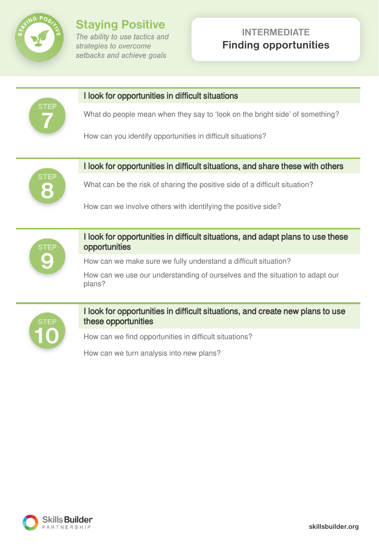

**Staying Positive** The ability to use tactics and strategies to overcome setbacks and achieve goals

## **INTERMEDIATE Finding opportunities**



#### I look for opportunities in difficult situations

What do people mean when they say to 'look on the bright side' of something?

How can you identify opportunities in difficult situations?



## I look for opportunities in difficult situations, and share these with others

What can be the risk of sharing the positive side of a difficult situation?

How can we involve others with identifying the positive side?



I look for opportunities in difficult situations, and adapt plans to use these opportunities

How can we make sure we fully understand a difficult situation?

How can we use our understanding of ourselves and the situation to adapt our plans?



#### I look for opportunities in difficult situations, and create new plans to use these opportunities

How can we find opportunities in difficult situations?

How can we turn analysis into new plans?

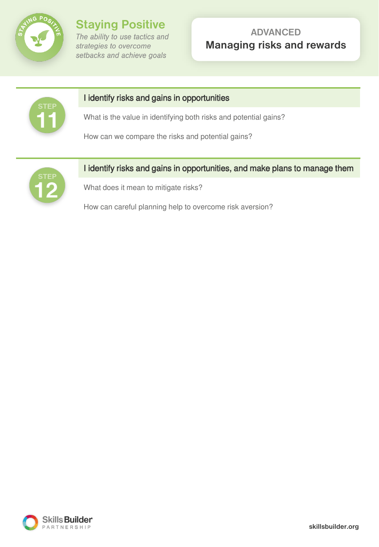

**Staying Positive** The ability to use tactics and strategies to overcome setbacks and achieve goals

## **ADVANCED Managing risks and rewards**



## I identify risks and gains in opportunities

What is the value in identifying both risks and potential gains?

How can we compare the risks and potential gains?



## I identify risks and gains in opportunities, and make plans to manage them

What does it mean to mitigate risks?

How can careful planning help to overcome risk aversion?